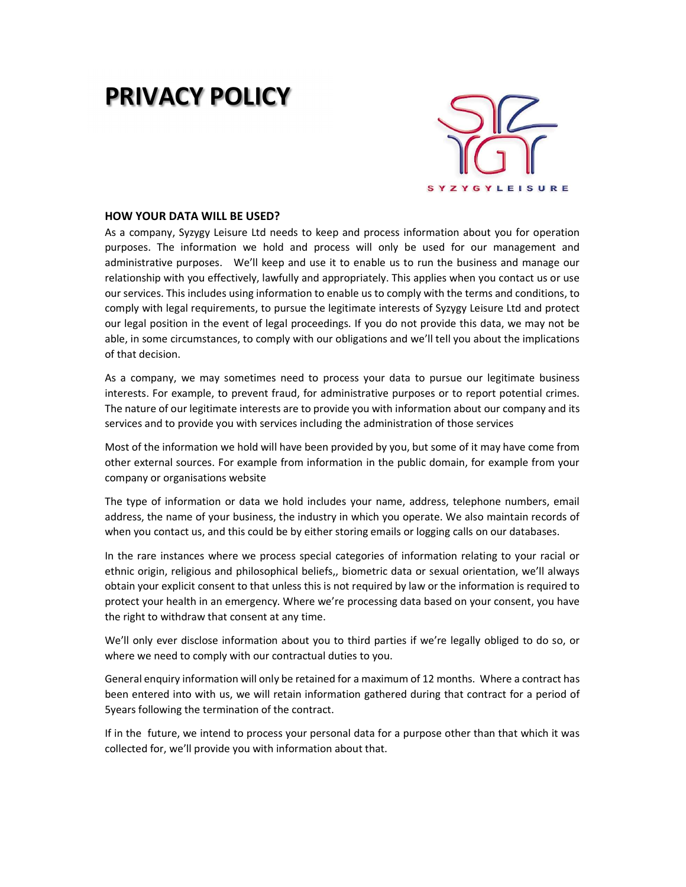## PRIVACY POLICY



## HOW YOUR DATA WILL BE USED?

As a company, Syzygy Leisure Ltd needs to keep and process information about you for operation purposes. The information we hold and process will only be used for our management and administrative purposes. We'll keep and use it to enable us to run the business and manage our relationship with you effectively, lawfully and appropriately. This applies when you contact us or use our services. This includes using information to enable us to comply with the terms and conditions, to comply with legal requirements, to pursue the legitimate interests of Syzygy Leisure Ltd and protect our legal position in the event of legal proceedings. If you do not provide this data, we may not be able, in some circumstances, to comply with our obligations and we'll tell you about the implications of that decision.

As a company, we may sometimes need to process your data to pursue our legitimate business interests. For example, to prevent fraud, for administrative purposes or to report potential crimes. The nature of our legitimate interests are to provide you with information about our company and its services and to provide you with services including the administration of those services

Most of the information we hold will have been provided by you, but some of it may have come from other external sources. For example from information in the public domain, for example from your company or organisations website

The type of information or data we hold includes your name, address, telephone numbers, email address, the name of your business, the industry in which you operate. We also maintain records of when you contact us, and this could be by either storing emails or logging calls on our databases.

In the rare instances where we process special categories of information relating to your racial or ethnic origin, religious and philosophical beliefs,, biometric data or sexual orientation, we'll always obtain your explicit consent to that unless this is not required by law or the information is required to protect your health in an emergency. Where we're processing data based on your consent, you have the right to withdraw that consent at any time.

We'll only ever disclose information about you to third parties if we're legally obliged to do so, or where we need to comply with our contractual duties to you.

General enquiry information will only be retained for a maximum of 12 months. Where a contract has been entered into with us, we will retain information gathered during that contract for a period of 5years following the termination of the contract.

If in the future, we intend to process your personal data for a purpose other than that which it was collected for, we'll provide you with information about that.